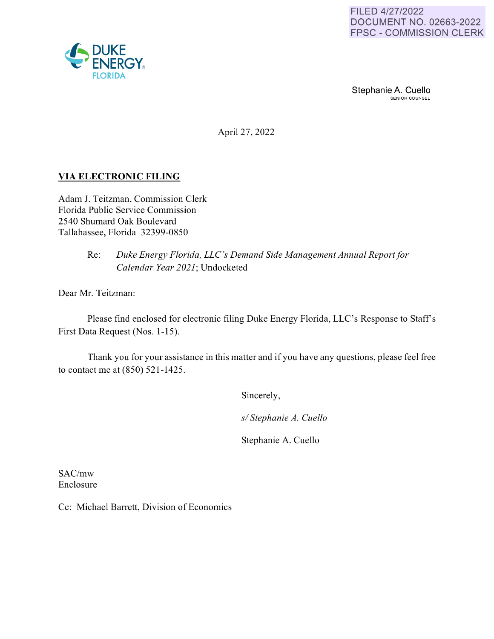Stephanie A. Cuello

April 27, 2022

# **VIA ELECTRONIC FILING**

Adam J. Teitzman, Commission Clerk Florida Public Service Commission 2540 Shumard Oak Boulevard Tallahassee, Florida 32399-0850

## Re: *Duke Energy Florida, LLC's Demand Side Management Annual Report for Calendar Year 2021;* Undocketed

Dear Mr. Teitzman:

Please find enclosed for electronic filing Duke Energy Florida, LLC's Response to Staff's First Data Request (Nos. 1-15).

Thank you for your assistance in this matter and if you have any questions, please feel free to contact me at (850) 521-1425.

Sincerely,

*sl Stephanie A. Cuello* 

Stephanie A. Cuello

SAC/mw Enclosure

Cc: Michael Barrett, Division of Economics

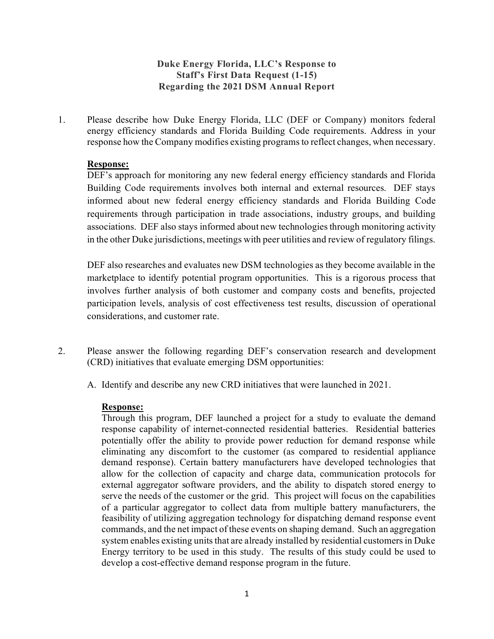# **Duke Energy Florida, LLC's Response to Staff's First Data Request (1-15) Regarding the 2021 DSM Annual Report**

1. Please describe how Duke Energy Florida, LLC (DEF or Company) monitors federal energy efficiency standards and Florida Building Code requirements. Address in your response how the Company modifies existing programs to reflect changes, when necessary.

### **Response:**

DEF's approach for monitoring any new federal energy efficiency standards and Florida Building Code requirements involves both internal and external resources. DEF stays informed about new federal energy efficiency standards and Florida Building Code requirements through participation in trade associations, industry groups, and building associations. DEF also stays informed about new technologies through monitoring activity in the other Duke jurisdictions, meetings with peer utilities and review of regulatory filings.

DEF also researches and evaluates new DSM technologies as they become available in the marketplace to identify potential program opportunities. This is a rigorous process that involves further analysis of both customer and company costs and benefits, projected participation levels, analysis of cost effectiveness test results, discussion of operational considerations, and customer rate.

- 2. Please answer the following regarding DEF's conservation research and development (CRD) initiatives that evaluate emerging DSM opportunities:
	- A. Identify and describe any new CRD initiatives that were launched in 2021.

### **Response:**

Through this program, DEF launched a project for a study to evaluate the demand response capability of internet-connected residential batteries. Residential batteries potentially offer the ability to provide power reduction for demand response while eliminating any discomfort to the customer (as compared to residential appliance demand response). Certain battery manufacturers have developed technologies that allow for the collection of capacity and charge data, communication protocols for external aggregator software providers, and the ability to dispatch stored energy to serve the needs of the customer or the grid. This project will focus on the capabilities of a particular aggregator to collect data from multiple battery manufacturers, the feasibility of utilizing aggregation technology for dispatching demand response event commands, and the net impact of these events on shaping demand. Such an aggregation system enables existing units that are already installed by residential customers in Duke Energy territory to be used in this study. The results of this study could be used to develop a cost-effective demand response program in the future.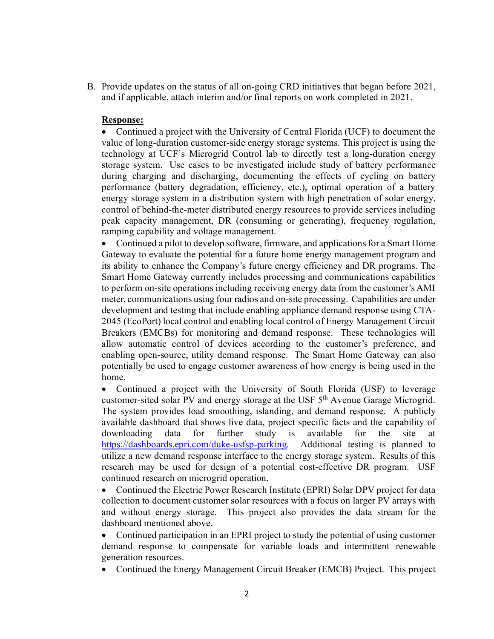B. Provide updates on the status of all on-going CRD initiatives that began before 2021, and if applicable, attach interim and/or final reports on work completed in 2021.

#### **Response:**

• Continued a project with the University of Central Florida (UCF) to document the value of long-duration customer-side energy storage systems. This project is using the technology at UCF's Microgrid Control lab to directly test a long-duration energy storage system. Use cases to be investigated include study of battery performance during charging and discharging, documenting the effects of cycling on battery performance (battery degradation, efficiency, etc.), optimal operation of a battery energy storage system in a distribution system with high penetration of solar energy, control of behind-the-meter distributed energy resources to provide services including peak capacity management, DR (consuming or generating), frequency regulation, ramping capability and voltage management.

• Continued a pilot to develop software, firmware, and applications for a Smart Home Gateway to evaluate the potential for a future home energy management program and its ability to enhance the Company's future energy efficiency and DR programs. The Smart Home Gateway currently includes processing and communications capabilities to perform on-site operations including receiving energy data from the customer's AMI meter, communications using four radios and on-site processing. Capabilities are under development and testing that include enabling appliance demand response using CTA-2045 (EcoPort) local control and enabling local control of Energy Management Circuit Breakers (EMCBs) for monitoring and demand response. These technologies will allow automatic control of devices according to the customer's preference, and enabling open-source, utility demand response. The Smart Home Gateway can also potentially be used to engage customer awareness of how energy is being used in the home.

• Continued a project with the University of South Florida (USF) to leverage customer-sited solar PV and energy storage at the USF 5<sup>th</sup> Avenue Garage Microgrid. The system provides load smoothing, islanding, and demand response. A publicly available dashboard that shows live data, project specific facts and the capability of downloading data for further study is available for the site at [https://dashboards.epri.com/duke-usfsp-parking.](https://dashboards.epri.com/duke-usfsp-parking) Additional testing is planned to utilize a new demand response interface to the energy storage system. Results of this research may be used for design of a potential cost-effective DR program. USF continued research on microgrid operation.

• Continued the Electric Power Research Institute (EPRI) Solar DPV project for data collection to document customer solar resources with a focus on larger PV arrays with and without energy storage. This project also provides the data stream for the dashboard mentioned above.

• Continued participation in an EPRI project to study the potential of using customer demand response to compensate for variable loads and intermittent renewable generation resources.

• Continued the Energy Management Circuit Breaker (EMCB) Project. This project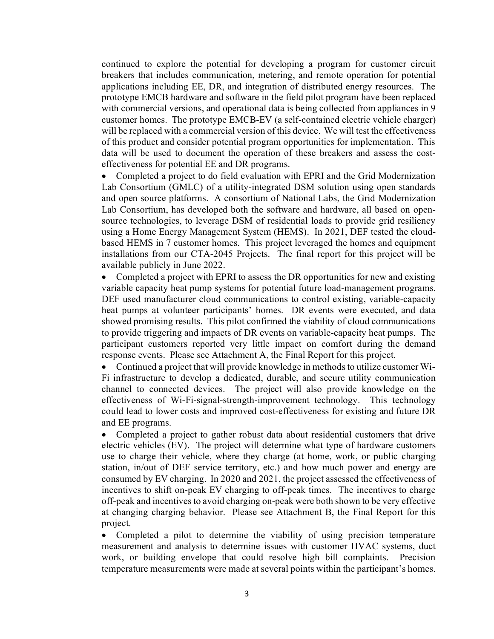continued to explore the potential for developing a program for customer circuit breakers that includes communication, metering, and remote operation for potential applications including EE, DR, and integration of distributed energy resources. The prototype EMCB hardware and software in the field pilot program have been replaced with commercial versions, and operational data is being collected from appliances in 9 customer homes. The prototype EMCB-EV (a self-contained electric vehicle charger) will be replaced with a commercial version of this device. We will test the effectiveness of this product and consider potential program opportunities for implementation. This data will be used to document the operation of these breakers and assess the costeffectiveness for potential EE and DR programs.

• Completed a project to do field evaluation with EPRI and the Grid Modernization Lab Consortium (GMLC) of a utility-integrated DSM solution using open standards and open source platforms. A consortium of National Labs, the Grid Modernization Lab Consortium, has developed both the software and hardware, all based on opensource technologies, to leverage DSM of residential loads to provide grid resiliency using a Home Energy Management System (HEMS). In 2021, DEF tested the cloudbased HEMS in 7 customer homes. This project leveraged the homes and equipment installations from our CTA-2045 Projects. The final report for this project will be available publicly in June 2022.

• Completed a project with EPRI to assess the DR opportunities for new and existing variable capacity heat pump systems for potential future load-management programs. DEF used manufacturer cloud communications to control existing, variable-capacity heat pumps at volunteer participants' homes. DR events were executed, and data showed promising results. This pilot confirmed the viability of cloud communications to provide triggering and impacts of DR events on variable-capacity heat pumps. The participant customers reported very little impact on comfort during the demand response events. Please see Attachment A, the Final Report for this project.

• Continued a project that will provide knowledge in methods to utilize customer Wi-Fi infrastructure to develop a dedicated, durable, and secure utility communication channel to connected devices. The project will also provide knowledge on the effectiveness of Wi-Fi-signal-strength-improvement technology. This technology could lead to lower costs and improved cost-effectiveness for existing and future DR and EE programs.

• Completed a project to gather robust data about residential customers that drive electric vehicles (EV). The project will determine what type of hardware customers use to charge their vehicle, where they charge (at home, work, or public charging station, in/out of DEF service territory, etc.) and how much power and energy are consumed by EV charging. In 2020 and 2021, the project assessed the effectiveness of incentives to shift on-peak EV charging to off-peak times. The incentives to charge off-peak and incentives to avoid charging on-peak were both shown to be very effective at changing charging behavior. Please see Attachment B, the Final Report for this project.

• Completed a pilot to determine the viability of using precision temperature measurement and analysis to determine issues with customer HVAC systems, duct work, or building envelope that could resolve high bill complaints. Precision temperature measurements were made at several points within the participant's homes.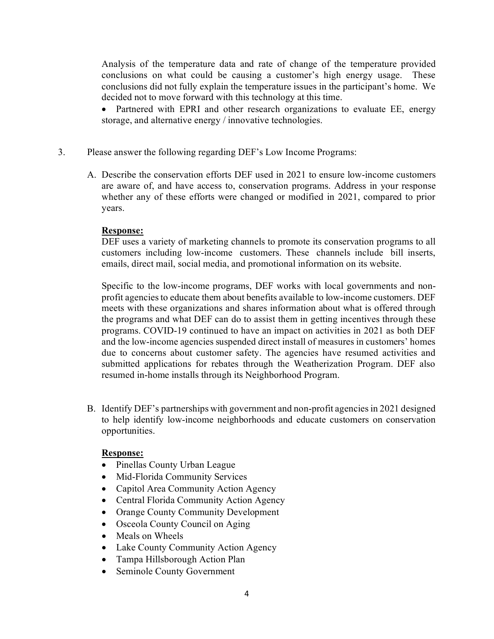Analysis of the temperature data and rate of change of the temperature provided conclusions on what could be causing a customer's high energy usage. These conclusions did not fully explain the temperature issues in the participant's home. We decided not to move forward with this technology at this time.

• Partnered with EPRI and other research organizations to evaluate EE, energy storage, and alternative energy / innovative technologies.

- 3. Please answer the following regarding DEF's Low Income Programs:
	- A. Describe the conservation efforts DEF used in 2021 to ensure low-income customers are aware of, and have access to, conservation programs. Address in your response whether any of these efforts were changed or modified in 2021, compared to prior years.

### **Response:**

DEF uses a variety of marketing channels to promote its conservation programs to all customers including low-income customers. These channels include bill inserts, emails, direct mail, social media, and promotional information on its website.

Specific to the low-income programs, DEF works with local governments and nonprofit agencies to educate them about benefits available to low-income customers. DEF meets with these organizations and shares information about what is offered through the programs and what DEF can do to assist them in getting incentives through these programs. COVID-19 continued to have an impact on activities in 2021 as both DEF and the low-income agencies suspended direct install of measures in customers' homes due to concerns about customer safety. The agencies have resumed activities and submitted applications for rebates through the Weatherization Program. DEF also resumed in-home installs through its Neighborhood Program.

B. Identify DEF's partnerships with government and non-profit agencies in 2021 designed to help identify low-income neighborhoods and educate customers on conservation opportunities.

### **Response:**

- Pinellas County Urban League
- Mid-Florida Community Services
- Capitol Area Community Action Agency
- Central Florida Community Action Agency
- Orange County Community Development
- Osceola County Council on Aging
- Meals on Wheels
- Lake County Community Action Agency
- Tampa Hillsborough Action Plan
- Seminole County Government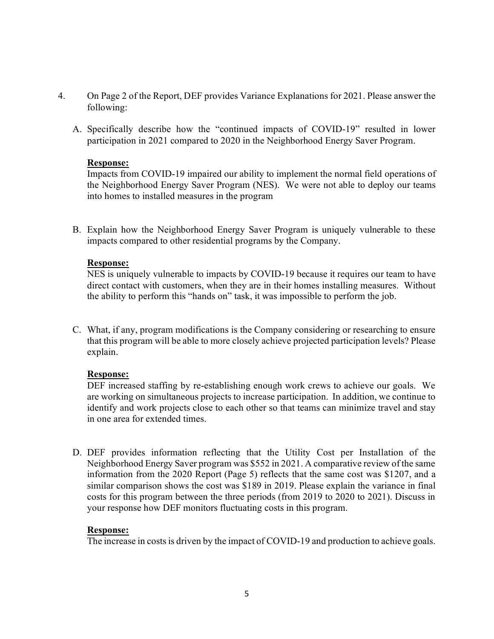- 4. On Page 2 of the Report, DEF provides Variance Explanations for 2021. Please answer the following:
	- A. Specifically describe how the "continued impacts of COVID-19" resulted in lower participation in 2021 compared to 2020 in the Neighborhood Energy Saver Program.

### **Response:**

Impacts from COVID-19 impaired our ability to implement the normal field operations of the Neighborhood Energy Saver Program (NES). We were not able to deploy our teams into homes to installed measures in the program

B. Explain how the Neighborhood Energy Saver Program is uniquely vulnerable to these impacts compared to other residential programs by the Company.

### **Response:**

NES is uniquely vulnerable to impacts by COVID-19 because it requires our team to have direct contact with customers, when they are in their homes installing measures. Without the ability to perform this "hands on" task, it was impossible to perform the job.

C. What, if any, program modifications is the Company considering or researching to ensure that this program will be able to more closely achieve projected participation levels? Please explain.

### **Response:**

DEF increased staffing by re-establishing enough work crews to achieve our goals. We are working on simultaneous projects to increase participation. In addition, we continue to identify and work projects close to each other so that teams can minimize travel and stay in one area for extended times.

D. DEF provides information reflecting that the Utility Cost per Installation of the Neighborhood Energy Saver program was \$552 in 2021. A comparative review of the same information from the 2020 Report (Page 5) reflects that the same cost was \$1207, and a similar comparison shows the cost was \$189 in 2019. Please explain the variance in final costs for this program between the three periods (from 2019 to 2020 to 2021). Discuss in your response how DEF monitors fluctuating costs in this program.

### **Response:**

The increase in costs is driven by the impact of COVID-19 and production to achieve goals.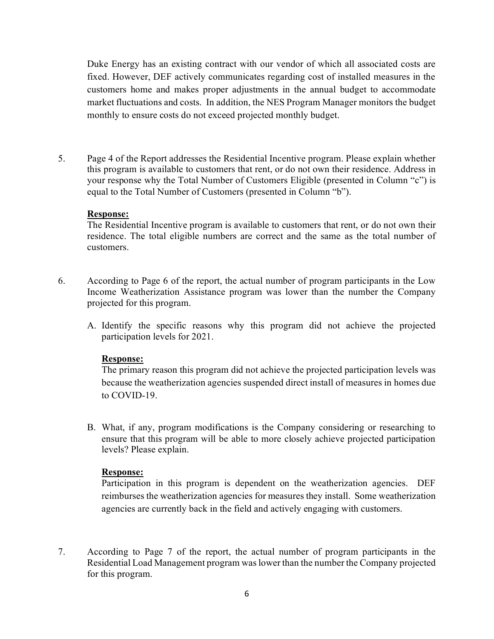Duke Energy has an existing contract with our vendor of which all associated costs are fixed. However, DEF actively communicates regarding cost of installed measures in the customers home and makes proper adjustments in the annual budget to accommodate market fluctuations and costs. In addition, the NES Program Manager monitors the budget monthly to ensure costs do not exceed projected monthly budget.

5. Page 4 of the Report addresses the Residential Incentive program. Please explain whether this program is available to customers that rent, or do not own their residence. Address in your response why the Total Number of Customers Eligible (presented in Column "c") is equal to the Total Number of Customers (presented in Column "b").

#### **Response:**

The Residential Incentive program is available to customers that rent, or do not own their residence. The total eligible numbers are correct and the same as the total number of customers.

- 6. According to Page 6 of the report, the actual number of program participants in the Low Income Weatherization Assistance program was lower than the number the Company projected for this program.
	- A. Identify the specific reasons why this program did not achieve the projected participation levels for 2021.

#### **Response:**

The primary reason this program did not achieve the projected participation levels was because the weatherization agencies suspended direct install of measures in homes due to COVID-19.

B. What, if any, program modifications is the Company considering or researching to ensure that this program will be able to more closely achieve projected participation levels? Please explain.

#### **Response:**

Participation in this program is dependent on the weatherization agencies. DEF reimburses the weatherization agencies for measures they install. Some weatherization agencies are currently back in the field and actively engaging with customers.

7. According to Page 7 of the report, the actual number of program participants in the Residential Load Management program was lower than the number the Company projected for this program.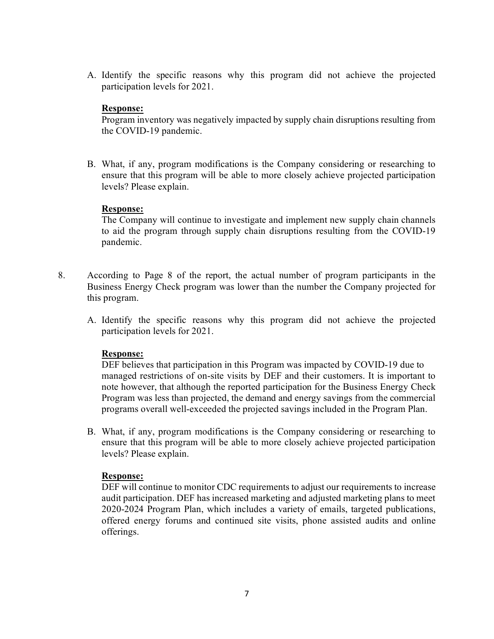A. Identify the specific reasons why this program did not achieve the projected participation levels for 2021.

### **Response:**

Program inventory was negatively impacted by supply chain disruptions resulting from the COVID-19 pandemic.

B. What, if any, program modifications is the Company considering or researching to ensure that this program will be able to more closely achieve projected participation levels? Please explain.

### **Response:**

The Company will continue to investigate and implement new supply chain channels to aid the program through supply chain disruptions resulting from the COVID-19 pandemic.

- 8. According to Page 8 of the report, the actual number of program participants in the Business Energy Check program was lower than the number the Company projected for this program.
	- A. Identify the specific reasons why this program did not achieve the projected participation levels for 2021.

### **Response:**

DEF believes that participation in this Program was impacted by COVID-19 due to managed restrictions of on-site visits by DEF and their customers. It is important to note however, that although the reported participation for the Business Energy Check Program was less than projected, the demand and energy savings from the commercial programs overall well-exceeded the projected savings included in the Program Plan.

B. What, if any, program modifications is the Company considering or researching to ensure that this program will be able to more closely achieve projected participation levels? Please explain.

#### **Response:**

DEF will continue to monitor CDC requirements to adjust our requirements to increase audit participation. DEF has increased marketing and adjusted marketing plans to meet 2020-2024 Program Plan, which includes a variety of emails, targeted publications, offered energy forums and continued site visits, phone assisted audits and online offerings.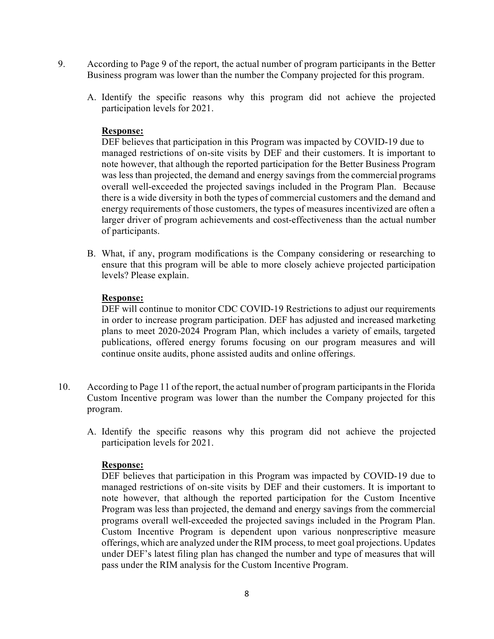- 9. According to Page 9 of the report, the actual number of program participants in the Better Business program was lower than the number the Company projected for this program.
	- A. Identify the specific reasons why this program did not achieve the projected participation levels for 2021.

### **Response:**

DEF believes that participation in this Program was impacted by COVID-19 due to managed restrictions of on-site visits by DEF and their customers. It is important to note however, that although the reported participation for the Better Business Program was less than projected, the demand and energy savings from the commercial programs overall well-exceeded the projected savings included in the Program Plan. Because there is a wide diversity in both the types of commercial customers and the demand and energy requirements of those customers, the types of measures incentivized are often a larger driver of program achievements and cost-effectiveness than the actual number of participants.

B. What, if any, program modifications is the Company considering or researching to ensure that this program will be able to more closely achieve projected participation levels? Please explain.

### **Response:**

DEF will continue to monitor CDC COVID-19 Restrictions to adjust our requirements in order to increase program participation. DEF has adjusted and increased marketing plans to meet 2020-2024 Program Plan, which includes a variety of emails, targeted publications, offered energy forums focusing on our program measures and will continue onsite audits, phone assisted audits and online offerings.

- 10. According to Page 11 of the report, the actual number of program participants in the Florida Custom Incentive program was lower than the number the Company projected for this program.
	- A. Identify the specific reasons why this program did not achieve the projected participation levels for 2021.

#### **Response:**

DEF believes that participation in this Program was impacted by COVID-19 due to managed restrictions of on-site visits by DEF and their customers. It is important to note however, that although the reported participation for the Custom Incentive Program was less than projected, the demand and energy savings from the commercial programs overall well-exceeded the projected savings included in the Program Plan. Custom Incentive Program is dependent upon various nonprescriptive measure offerings, which are analyzed under the RIM process, to meet goal projections. Updates under DEF's latest filing plan has changed the number and type of measures that will pass under the RIM analysis for the Custom Incentive Program.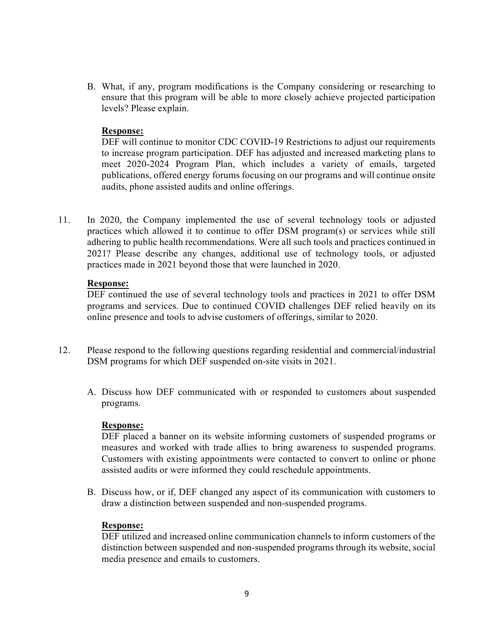B. What, if any, program modifications is the Company considering or researching to ensure that this program will be able to more closely achieve projected participation levels? Please explain.

### **Response:**

DEF will continue to monitor CDC COVID-19 Restrictions to adjust our requirements to increase program participation. DEF has adjusted and increased marketing plans to meet 2020-2024 Program Plan, which includes a variety of emails, targeted publications, offered energy forums focusing on our programs and will continue onsite audits, phone assisted audits and online offerings.

11. In 2020, the Company implemented the use of several technology tools or adjusted practices which allowed it to continue to offer DSM program(s) or services while still adhering to public health recommendations. Were all such tools and practices continued in 2021? Please describe any changes, additional use of technology tools, or adjusted practices made in 2021 beyond those that were launched in 2020.

### **Response:**

DEF continued the use of several technology tools and practices in 2021 to offer DSM programs and services. Due to continued COVID challenges DEF relied heavily on its online presence and tools to advise customers of offerings, similar to 2020.

- 12. Please respond to the following questions regarding residential and commercial/industrial DSM programs for which DEF suspended on-site visits in 2021.
	- A. Discuss how DEF communicated with or responded to customers about suspended programs.

#### **Response:**

DEF placed a banner on its website informing customers of suspended programs or measures and worked with trade allies to bring awareness to suspended programs. Customers with existing appointments were contacted to convert to online or phone assisted audits or were informed they could reschedule appointments.

B. Discuss how, or if, DEF changed any aspect of its communication with customers to draw a distinction between suspended and non-suspended programs.

#### **Response:**

DEF utilized and increased online communication channels to inform customers of the distinction between suspended and non-suspended programs through its website, social media presence and emails to customers.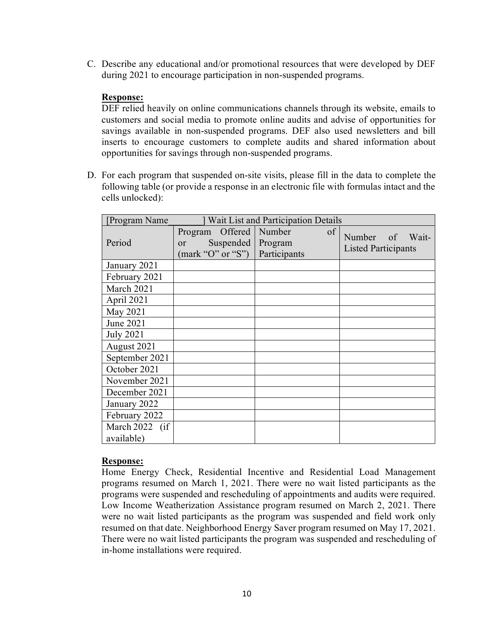C. Describe any educational and/or promotional resources that were developed by DEF during 2021 to encourage participation in non-suspended programs.

### **Response:**

DEF relied heavily on online communications channels through its website, emails to customers and social media to promote online audits and advise of opportunities for savings available in non-suspended programs. DEF also used newsletters and bill inserts to encourage customers to complete audits and shared information about opportunities for savings through non-suspended programs.

D. For each program that suspended on-site visits, please fill in the data to complete the following table (or provide a response in an electronic file with formulas intact and the cells unlocked):

| [Program Name    | Wait List and Participation Details                                |  |                                   |    |                                               |
|------------------|--------------------------------------------------------------------|--|-----------------------------------|----|-----------------------------------------------|
| Period           | Offered<br>Program<br>Suspended<br>or<br>${\rm (mark "O" or "S")}$ |  | Number<br>Program<br>Participants | of | Number of Wait-<br><b>Listed Participants</b> |
| January 2021     |                                                                    |  |                                   |    |                                               |
| February 2021    |                                                                    |  |                                   |    |                                               |
| March 2021       |                                                                    |  |                                   |    |                                               |
| April 2021       |                                                                    |  |                                   |    |                                               |
| May 2021         |                                                                    |  |                                   |    |                                               |
| June 2021        |                                                                    |  |                                   |    |                                               |
| <b>July 2021</b> |                                                                    |  |                                   |    |                                               |
| August 2021      |                                                                    |  |                                   |    |                                               |
| September 2021   |                                                                    |  |                                   |    |                                               |
| October 2021     |                                                                    |  |                                   |    |                                               |
| November 2021    |                                                                    |  |                                   |    |                                               |
| December 2021    |                                                                    |  |                                   |    |                                               |
| January 2022     |                                                                    |  |                                   |    |                                               |
| February 2022    |                                                                    |  |                                   |    |                                               |
| March 2022 (if   |                                                                    |  |                                   |    |                                               |
| available)       |                                                                    |  |                                   |    |                                               |

### **Response:**

Home Energy Check, Residential Incentive and Residential Load Management programs resumed on March 1, 2021. There were no wait listed participants as the programs were suspended and rescheduling of appointments and audits were required. Low Income Weatherization Assistance program resumed on March 2, 2021. There were no wait listed participants as the program was suspended and field work only resumed on that date. Neighborhood Energy Saver program resumed on May 17, 2021. There were no wait listed participants the program was suspended and rescheduling of in-home installations were required.